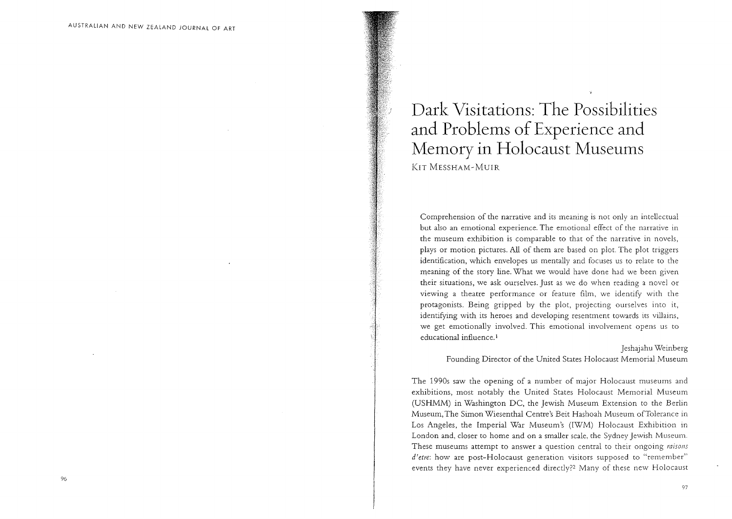**Dark Visitations: The Possibilities and Problems of Experience and Memory in Holocaust Museums**  KIT MESSHAM-MUIR

Comprehension of the narrative and its meaning is not only an intellectual but also an emotional experience. The emotional effect of the narrative in the museum exhibition is comparable to that of the narrative in novels, plays or motion pictures. All of them are based on plot. The plot triggers identification, which envelopes us mentally and focuses us to relate to the meaning of the story line. What we would have done had we been given their situations, we ask ourselves. Just as we do when reading a novel or viewing a theatre performance or feature film, we identify with the protagonists. Being gripped by the plot, projecting ourselves into it, identifying with its heroes and developing resentment towards its villains, we get emotionally involved. This emotional involvement opens us to educational influence. <sup>I</sup>

Jeshajahu Weinberg

Founding Director of the United States Holocaust Memorial Museum

The 1990s saw the opening of a number of major Holocaust museums and exhibitions, most notably the United States Holocaust Memorial Museum (USHMM) in Washington DC, the Jewish Museum Extension to the Berlin Museum, The Simon Wiesenthal Centre's Beit Hashoah Museum ofTolerance in Los Angeles, the Imperial War Museum's (IWM) Holocaust Exhibition in London and, closer to home and on a smaller scale, the Sydney Jewish Museum. These museums attempt to answer a question central to their ongoing *raisons d'etre*: how are post-Holocaust generation visitors supposed to "remember" events they have never experienced directly?2 Many of these new Holocaust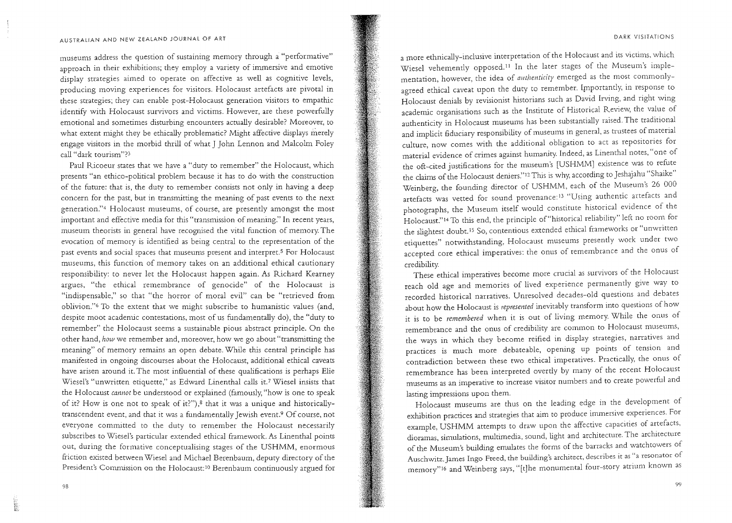#### DARK VISITATIONS

## AUSTRALIAN AND NEW ZEALAND JOURNAL OF ART

museums address the question of sustaining memory through a "performative" approach in their exhibitions; they employ a variety of immersive and emotive display strategies aimed to operate on affective as well as cognitive levels, producing moving experiences for visitors. Holocaust artefacts are pivotal in these strategies; they can enable post-Holocaust generation visitors to empathic identify with Holocaust survivors and victims. However, are these powerfully emotional and sometimes disturbing encounters actually desirable? Moreover, to what extent might they be ethically problematic? Might affective displays merely engage visitors in the morbid thrill of what J John Lennon and Malcolm Foley call "dark tourism"?3

Paul Ricoeur states that we have a "duty to remember" the Holocaust, which presents "an ethico-political problem because it has to do with the construction of the future: that is, the duty to remember consists not only in having a deep concern for the past, but in transmitting the meaning of past events to the next generation."4 Holocaust museums, of course, are presently amongst the most important and effective media for this "transmission of meaning." In recent years, museum theorists in general have recognised the vital function of memory. The evocation of memory is identified as being central to the representation of the past events and social spaces that museums present and interpret. 5 For Holocaust museums, this function of memory takes on an additional ethical cautionary responsibility: to never let the Holocaust happen again. As Richard Kearney argues, "the ethical remembrance of genocide" of the Holocaust is "indispensable," so that "the horror of moral evil" can be "retrieved from oblivion."6 To the extent that we might subscribe to humanistic values (and, despite moot academic contestations, most of us fundamentally do), the "duty to remember" the Holocaust seems a sustainable pious abstract principle. On the other hand, *how* we remember and, moreover, how we go about "transmitting the meaning" of memory remains an open debate. While this central principle has manifested in ongoing discourses about the Holocaust, additional ethical caveats have arisen around it. The most influential of these qualifications is perhaps Elie Wiesel's "unwritten etiquette," as Edward Linenthal calls it.? Wiesel insists that the Holocaust *cannot* be understood or explained (famously, "how is one to speak of it? How is one not to speak of it?"),<sup>8</sup> that it was a unique and historicallytranscendent event, and that it was a fundamentally Jewish event.9 Of course, not everyone committed to the duty to remember the Holocaust necessarily subscribes to Wiesel's particular extended ethical framework. As Linenthal points out, during the formative conceptualising stages of the USHMM, enormous friction existed between Wiesel and Michael Berenbaum, deputy directory of the President's Commission on the Holocaust:<sup>10</sup> Berenbaum continuously argued for a more ethnically-inclusive interpretation of the Holocaust and its victims, which Wiesel vehemently opposed.<sup>11</sup> In the later stages of the Museum's implementation, however, the idea of *authenticity* emerged as the most commonlyagreed ethical caveat upon the duty to remember. Importantly, in response to Holocaust denials by revisionist historians such as David Irving, and right wing academic organisations such as the Institute of Historical Review, the value of authenticity in Holocaust museums has been substantially raised. The traditional and implicit fiduciary responsibility of museums in general, as trustees of material culture, now comes with the additional obligation to act as repositories for material evidence of crimes against humanity. Indeed, as Linenthal notes, "one of the oft-cited justifications for the museum's [USHMM] existence was to refute the claims of the Holocaust deniers."12 This is why, according to Jeshajahu "Shaike" Weinberg, the founding director of USHMM, each of the Museum's 26 000 artefacts was vetted for sound provenance:<sup>13</sup> "Using authentic artefacts and photographs, the Museum itself would constitute historical evidence of the Holocaust."I4 To this end, the principle of"historical reliability" left no room for the slightest doubt.<sup>15</sup> So, contentious extended ethical frameworks or "unwritten etiquettes" notwithstanding, Holocaust museums presently work under two accepted core ethical imperatives: the onus of remembrance and the onus of credibility.

These ethical imperatives become more crucial as survivors of the Holocaust reach old age and memories of lived experience permanently give way to recorded historical narratives. Unresolved decades-old questions and debates about how the Holocaust is *represented* inevitably transform into questions of how it is to be *remembered* when it is out of living memory. While the onus of remembrance and the onus of credibility are common to Holocaust museums, the ways in which they become reified in display strategies, narratives and practices is much more debateable, opening up points of tension and contradiction between these two ethical imperatives. Practically, the onus of remembrance has been interpreted overtly by many of the recent Holocaust museums as an imperative to increase visitor numbers and to create powerful and lasting impressions upon them.

Holocaust museums are thus on the leading edge in the development of exhibition practices and strategies that aim to produce inunersive experiences. For example, USHMM attempts to draw upon the affective capacities of artefacts, dioramas, simulations, multimedia, sound, light and architecture. The architecture of the Museum's building emulates the forms of the barracks and watchtowers of Auschwitz. James Ingo Freed, the building's architect, describes it as "a resonator of memory"<sup>16</sup> and Weinberg says, "[t]he monumental four-story atrium known as

98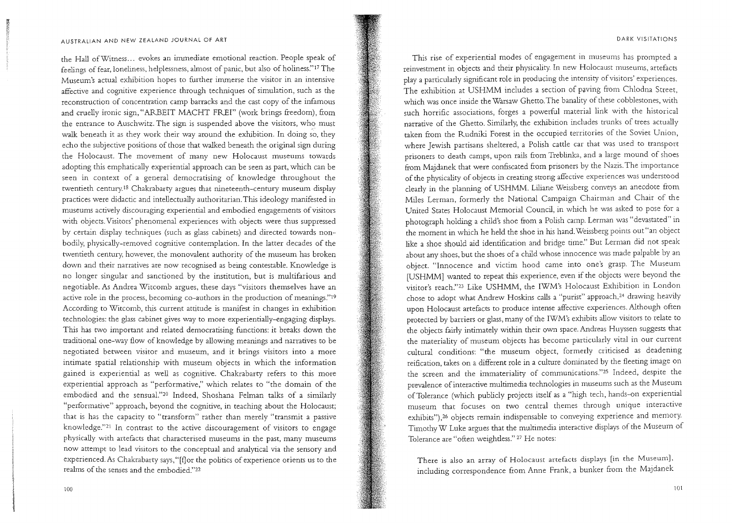#### DARK VISITATIONS

# AUSTRALIAN AND NEW ZEALAND JOURNAL OF ART

the Hall of Witness... evokes an immediate emotional reaction. People speak of feelings of fear, loneliness, helplessness, almost of panic, but also of holiness." 17 The Museum's actual exhibition hopes to further immerse the visitor in an intensive affective and cognitive experience through techniques of simulation, such as the reconstruction of concentration camp barracks and the cast copy of the infamous and cruelly ironic sign, "ARBEIT MACHT FREI" (work brings freedom), from the entrance to Auschwitz. The sign is suspended above the visitors, who must walk beneath it as they work their way around the exhibition. In doing so, they echo the subjective positions of those that walked beneath the original sign during the Holocaust. The movement of many new Holocaust museums towards adopting this emphatically experiential approach can be seen as part, which can be seen in context of a general democratising of knowledge throughout the twentieth century.<sup>18</sup> Chakrabarty argues that nineteenth-century museum display practices were didactic and intellectually authoritarian. This ideology manifested in museums actively discouraging experiential and embodied engagements of visitors with objects. Visitors' phenomenal experiences with objects were thus suppressed by certain display techniques (such as glass cabinets) and directed towards nonbodily, physically-removed cognitive contemplation. In the latter decades of the twentieth century, however, the monovalent authority of the museum has broken down and their narratives are now recognised as being contestable. Knowledge is no longer singular and sanctioned by the institution, but is multifarious and negotiable. As Andrea Witcomb argues, these days "visitors themselves have an active role in the process, becoming co-authors in the production of meanings."<sup>19</sup> According to Witcomb, this current attitude is manifest in changes in exhibition technologies: the glass cabinet gives way to more experientially-engaging displays. This has two important and related democratising functions: it breaks down the traditional one-way flow of knowledge by allowing meanings and narratives to be negotiated between visitor and museum, and it brings visitors into a more intimate spatial relationship with museum objects in which the information gained is experiential as well as cognitive. Chakrabarty refers to this more experiential approach as "performative," which relates to "the domain of the embodied and the sensuaJ."zo Indeed, Shoshana Felman talks of a similarly "performative" approach, beyond the cognitive, in teaching about the Holocaust; that is has the capacity to "transform" rather than merely "transmit a passive knowledge."<sup>21</sup> In contrast to the active discouragement of visitors to engage physically with artefacts that characterised museums in the past, many museums now attempt to lead visitors to the conceptual and analytical via the sensory and experienced. As Chakrabarty says, "fflor the politics of experience orients us to the realms of the senses and the embodied."22

This rise of experiential modes of engagement in museums has prompted a reinvestment in objects and their physicality. In new Holocaust museums, artefacts play a particularly significant role in producing the intensity of visitors' experiences. The exhibition at USHMM includes a section of paving from Chlodna Street, which was once inside the Warsaw Ghetto. The banality of these cobblestones, with such horrific associations, forges a powerful material link with the historical narrative of the Ghetto. Similarly, the exhibition includes trunks of trees actually taken from the Rudniki Forest in the occupied territories of the Soviet Union, where Jewish partisans sheltered, a Polish cattle car that was used to transport prisoners to death camps, upon rails from Treblinka, and a large mound of shoes from Majdanek that were confiscated from prisoners by the Nazis. The importance of the physicality of objects in creating strong affective experiences was understood clearly in the planning of USHMM. Liliane Weissberg conveys an anecdote from Miles Lerman, formerly the National Campaign Chairman and Chair of the United States Holocaust Memorial Council, in which he was asked to pose for a photograph holding a child's shoe from a Polish camp. Lerman was "devastated" in the moment in which he held the shoe in his hand. Weissberg points out "an object like a shoe should aid identification and bridge time." But Lerman did not speak about any shoes, but the shoes of a child whose innocence was made palpable by an object. "Innocence and victim hood came into one's grasp. The Museum [USHMM] wanted to repeat this experience, even if the objects were beyond the visitor's reach."23 Like USHMM, the IWM's Holocaust Exhibition in London chose to adopt what Andrew Hoskins calls a "purist" approach,24 drawing heavily upon Holocaust artefacts to produce intense affective experiences. Although often protected by barriers or glass, many of the IWM's exhibits allow visitors to relate to the objects fairly intimately within their own space. Andreas Huyssen suggests that the materiality of museum objects has become particularly vital in our current cultural conditions: "the museum object, formerly criticised as deadening reification, takes on a different role in a culture dominated by the fleeting image on the screen and the immateriality of communications."25 Indeed, despite the prevalence of interactive multimedia technologies in museums such as the Museum ofTolerance (which publicly projects itself as a "high tech, hands-on experiential museum that focuses on two central themes through unique interactive exhibits"),<sup>26</sup> objects remain indispensable to conveying experience and memory. Timothy W Luke argues that the multimedia interactive displays of the Museum of Tolerance are "often weightless." 27 He notes:

There is also an array of Holocaust artefacts displays [in the Museum], including correspondence from Anne Frank, a bunker from the Majdanek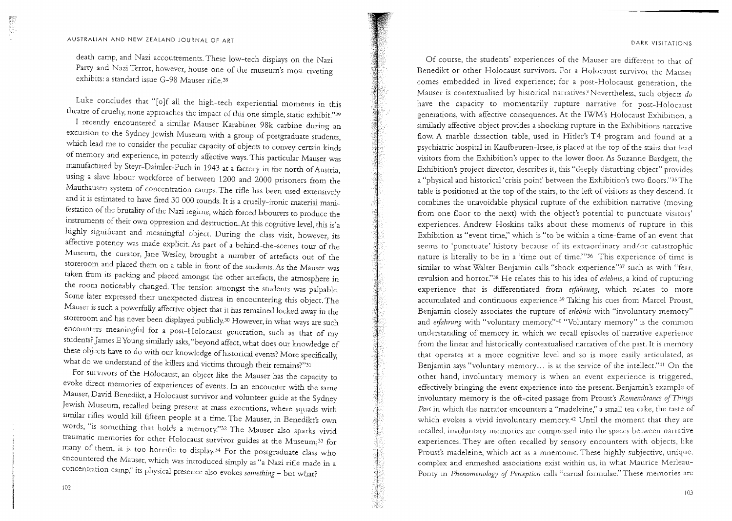#### DARK VISITATIONS

# AUSTRALIAN AND NEW ZEALAND JOURNAL OF ART

death camp, and Nazi accoutrements. These low-tech displays on the Nazi Party and Nazi Terror, however, house one of the museum's most riveting exhibits: a standard issue G-98 Mauser rifle.28

Luke concludes that "[o]f all the high-tech experiential moments in this theatre of cruelty, none approaches the impact of this one simple, static exhibit."29 I recently encountered a similar Mauser Karabiner 98k carbine during an excursion to the Sydney Jewish Museum with a group of postgraduate students, which lead me to consider the peculiar capacity of objects to convey certain kinds of memory and experience, in potently affective ways. This particular Mauser was manufactured by Steyr-Daimler-Puch in 1943 at a factory in the north of Austria, using a slave labour workforce of between 1200 and 2000 prisoners from the Mauthausen system of concentration camps. The rifle has been used extensively and it is estimated to have fired 30 000 rounds. It is a cruelly-ironic material manifestation of the brutality of the Nazi regime, which forced labourers to produce the instruments of their own oppression and destruction. At this cognitive level, this is'a highly significant and meaningful object. During the class visit, however, its affective potency was made explicit. As part of a behind-the-scenes tour of the Museum, the curator, Jane Wesley, brought a number of artefacts out of the storeroom and placed them on a table in front of the students. As the Mauser was taken from its packing and placed amongst the other artefacts, the atmosphere in the room noticeably changed. The tension amongst the students was palpable. Some later expressed their unexpected distress in encountering this object. The Mauser is such a powerfully affective object that it has remained locked away in the storeroom and has never been displayed publicly.<sup>30</sup> However, in what ways are such encounters meaningful for a post-Holocaust generation, such as that of my students? James EYoung similarly asks, "beyond affect, what does our knowledge of these objects have to do with our knowledge of historical events? More specifically, what do we understand of the killers and victims through their remains?"31

For survivors of the Holocaust, an object like the Mauser has the capacity to evoke direct memories of experiences of events. In an encounter with the same Mauser, David Benedikt, a Holocaust survivor and volunteer guide at the Sydney Jewish Museum, recalled being present at mass executions, where squads with similar rifles would kill fifteen people at a time. The Mauser, in Benedikt's own words, "is something that holds a memory."32 The Mauser also sparks vivid traumatic memories for other Holocaust survivor guides at the Museum;<sup>33</sup> for many of them, it is too horrific to display.34 For the postgraduate class who encountered the Mauser, which was introduced simply as "a Nazi rifle made in a concentration camp," its physical presence also evokes *something-* but what?

Of course, the students' experiences of the Mauser are different to that of Benedikt or other Holocaust survivors. For a Holocaust survivor the Mauser comes embedded in lived experience; for a post-Holocaust generation, the Mauser is contextualised by historical narratives:'Nevertheless, such objects *do*  have the capacity to momentarily rupture narrative for post-Holocaust generations, with affective consequences. At the IWM's Holocaust Exhibition, a similarly affective object provides a shocking rupture in the Exhibitions narrative flow. A marble dissection table, used in Hitler's T4 program and found at a psychiatric hospital in Kaufbeuren-Irsee, is placed at the top of the stairs that lead visitors from the Exhibition's upper to the lower floor. As Suzanne Bardgett, the Exhibition's project director, describes it, this "deeply disturbing object" provides a "physical and historical 'crisis point' between the Exhibition's two floors."35 The table is positioned at the top of the stairs, to the left of visitors as they descend. It combines the unavoidable physical rupture of the exhibition narrative (moving from one floor to the next) with the object's potential to punctuate visitors' experiences. Andrew Hoskins talks about these moments of rupture in this Exhibition as "event time," which is "to be within a time-frame of an event that seems to 'punctuate' history because of its extraordinary and/or catastrophic nature is literally to be in a 'time out of time."'36 This experience of time is similar to what Walter Benjamin calls "shock experience"<sup>37</sup> such as with "fear, revulsion and horror."38 He relates this to his idea of *erlebnis,* a kind of rupturing experience that is differentiated from *erfalmmg,* which relates to more accumulated and continuous experience.<sup>39</sup> Taking his cues from Marcel Proust, Benjamin closely associates the rupture of *erlebnis* with "involuntary memory" and *erfahrung* with "voluntary memory." 40 "Voluntary memory" is the common understanding of memory in which we recall episodes of narrative experience from the linear and historically contextualised narratives of the past. It is memory that operates at a more cognitive level and so is more easily articulated, as Benjamin says "voluntary memory ... is at the service of the intellect."41 On the other hand, involuntary memory is when an event experience is triggered, effectively bringing the event experience into the present. Benjamin's example of involuntary memory is the oft-cited passage from Proust's *Remembrance of Things Past* in which the narrator encounters a "madeleine," a small tea cake, the taste of which evokes a vivid involuntary memory.<sup>42</sup> Until the moment that they are recalled, involuntary memories are compressed into the spaces between narrative experiences. They are often recalled by sensory encounters with objects, like Proust's madeleine, which act as a mnemonic. These highly subjective, unique, complex and enmeshed associations exist within us, in what Maurice Merleau-Ponty in *Phenomenology of Perception* calls "carnal formulae." These memories are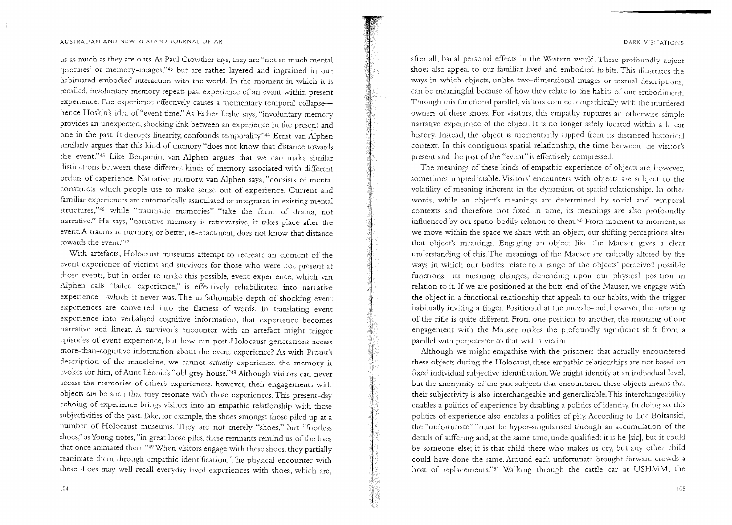#### AUSTRALIAN AND NEW ZEALAND JOURNAL OF ART

us as much as they are ours. As Paul Crowther says, they are "not so much mental 'pictures' or memory-images,"<sup>43</sup> but are rather layered and ingrained in our habituated embodied interaction with the world. In the moment in which it is recalled, involuntary memory repeats past experience of an event within present experience. The experience effectively causes a momentary temporal collapsehence Hoskin's idea of"event time." As Esther Leslie says, "involuntary memory provides an unexpected, shocking link between an experience in the present and one in the past. It disrupts linearity, confounds temporality."44 Ernst van Alphen similarly argues that this kind of memory "does not know that distance towards the event." 45 Like Benjamin, van Alphen argues that we can make similar distinctions between these different kinds of memory associated with different orders of experience. Narrative memory, van Alphen says, "consists of mental constructs which people use to make sense out of experience. Current and familiar experiences are automatically assimilated or integrated in existing mental structures,"46 while "traumatic memories" "take the form of drama, not narrative." He says, "narrative memory is retroversive, it takes place after the event. A traumatic memory, or better, re-enactment, does not know that distance towards the event."47

With artefacts, Holocaust museums attempt to recreate an element of the event experience of victims and survivors for those who were not present at those events, but in order to make this possible, event experience, which van Alphen calls "failed experience," is effectively rehabilitated into narrative experience--which it never was. The unfathomable depth of shocking event experiences are converted into the flatness of words. In translating event experience into verbalised cognitive information, that experience becomes narrative and linear. A survivor's encounter with an artefact might trigger episodes of event experience, but how can post-Holocaust generations access more-than-cognitive information about the event experience? As with Proust's description of the madeleine, we cannot *actually* experience the memory it evokes for him, of Aunt Léonie's "old grey house."48 Although visitors can never access the memories of other's experiences, however, their engagements with objects *can* be such that they resonate with those experiences. This present-day echoing of experience brings visitors into an empathic relationship with those subjectivities of the past. Take, for example, the shoes amongst those piled up at a number of Holocaust museums. They are not merely "shoes," but "footless shoes," as Young notes, "in great loose piles, these renmants remind us of the lives that once animated them."49 When visitors engage with these shoes, they partially reanimate them through empathic identification. The physical encounter with these shoes may well recall everyday lived experiences with shoes, which are,

## !04

# DARK VISITATIONS

after all, banal personal effects in the Western world. These profoundly abject shoes also appeal to our familiar lived and embodied habits. This illustrates the ways in which objects, unlike two-dimensional images or textual descriptions, can be meaningful because of how they relate to the habits of our embodiment. Through this functional parallel, visitors connect empathically with the murdered owners of these shoes. For visitors, this empathy ruptures an otherwise simple narrative experience of the object. It is no longer safely located within a linear history. Instead, the object is momentarily ripped from its distanced historical context. In this contiguous spatial relationship, the time between the visitor's present and the past of the "event" is effectively compressed.

The meanings of these kinds of empathic experience of objects are, however, sometimes unpredictable. Visitors' encounters with objects are subject to the volatility of meaning inherent in the dynamism of spatial relationships. In other words, while an object's meanings are determined by social and temporal contexts and therefore not fixed in time, its meanings are also profoundly influenced by our spatio-bodily relation to them.<sup>50</sup> From moment to moment, as we move within the space we share with an object, our shifting perceptions alter that object's meanings. Engaging an object like the Mauser gives a clear understanding of this. The meanings of the Mauser are radically altered by the ways in which our bodies relate to a range of the objects' perceived possible functions-its meaning changes, depending upon our physical position in relation to it. If we are positioned at the butt-end of the Mauser, we engage with the object in a functional relationship that appeals to our habits, with the trigger habitually inviting a finger. Positioned at the muzzle-end, however, the meaning of the rifle is quite different. From one position to another, the meaning of our engagement with the Mauser makes the profoundly significant shift from a parallel with perpetrator to that with a victim.

Although we might empathise with the prisoners that actually encountered these objects during the Holocaust, these empathic relationships are not based on fixed individual subjective identification. We might identify at an individual level, but the anonymity of the past subjects that encountered these objects means that their subjectivity is also interchangeable and generalisable. This interchangeability enables a politics of experience by disabling a politics of identity. In doing so, this politics of experience also enables a politics of pity. According to Luc Boltanski, the "unfortunate" "must be hyper-singularised through an accumulation of the details of suffering and, at the same time, underqualified: it is he [sic], but it could be someone else; it is that child there who makes us cry, but any other child could have done the same. Around each unfortunate brought forward crowds a host of replacements."<sup>51</sup> Walking through the cattle car at USHMM, the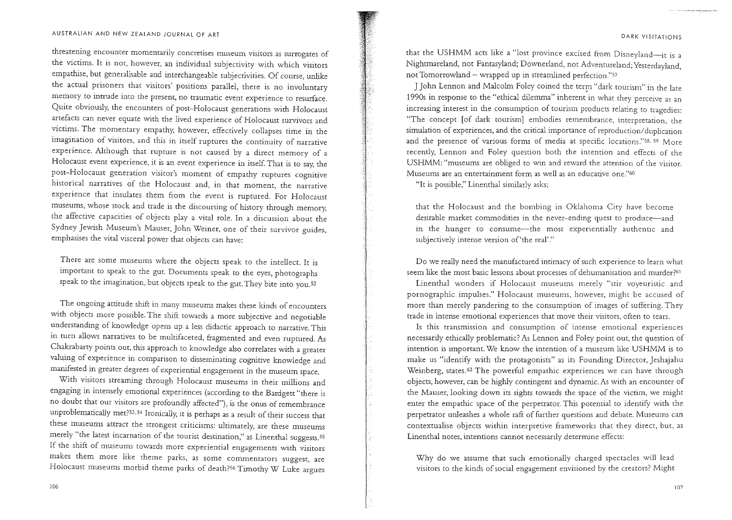## AUSTRALIAN AND NEW ZEAlAND JOURNAL OF ART

threatening encounter momentarily concretises museum visitors as surrogates of the victims. It is not, however, an individual subjectivity with which visitors empathise, but generalisable and interchangeable subjectivities. Of course, unlike the actual prisoners that visitors' positions parallel, there is no involuntary memory to intrude into the present, no traumatic event experience to resurface. Quite obviously, the encounters of post-Holocaust generations with Holocaust artefacts can never equate with the lived experience of Holocaust survivors and victims. The momentary empathy, however, effectively collapses time in the imagination of visitors, and this in itself ruptures the continuity of narrative experience. Although that rupture is not caused by a direct memory of a Holocaust event experience, it is an event experience in itself. That is to say, the post-Holocaust generation visitor's moment of empathy ruptures cognitive historical narratives of the Holocaust and, in that moment, the narrative experience that insulates them from the event is ruptured. For Holocaust museums, whose stock and trade is the discoursing of history through memory, the affective capacities of objects play a vital role. In a discussion about the Sydney Jewish Museum's Mauser, John Weiner, one of their survivor guides, emphasises the vital visceral power that objects can have:

There are some museums where the objects speak to the intellect. It is important to speak to the gut. Documents speak to the eyes, photographs speak to the imagination, but objects speak to the gut. They bite into you.<sup>52</sup>

The ongoing attitude shift in many museums makes these kinds of encounters with objects more possible. The shift towards a more subjective and negotiable understanding of knowledge opens up a less didactic approach to narrative. This in turn allows narratives to be multifaceted, fragmented and even ruptured. As Chakrabarty points out, this approach to knowledge also correlates with a greater valuing of experience in comparison to disseminating cognitive knowledge and manifested in greater degrees of experiential engagement in the museum space.

With visitors streaming through Holocaust museums in their millions and engaging in intensely emotional experiences (according to the Bardgett "there is no doubt that our visitors are profoundly affected"), is the onus of remembrance unproblematically met?53· 54 Ironically, it is perhaps as a result of their success that these museums attract the strongest criticisms: ultimately, are these museums merely "the latest incarnation of the tourist destination," as Linenthal suggests.55 If the shift of museums towards more experiential engagements with visitors makes them more like theme parks, as some commentators suggest, are Holocaust museums morbid theme parks of death?<sup>56</sup> Timothy W Luke argues

that the USHMM acts like a "lost province excised from  $D$ isneyland--it is a Nightmareland, not Fantasyland; Downerland, not Adventureland; Yesterdayland, not Tomorrowland- wrapped up in streamlined perfection."s7

J John Lennon and Malcolm Foley coined the term "dark tourism" in the late 1990s in response to the "ethical dilemma" inherent in what they perceive as an increasing interest in the consumption of tourism products relating to tragedies: "The concept [of dark tourism] embodies remembrance, interpretation, the simulation of experiences, and the critical importance of reproduction/duplication and the presence of various forms of media at specific locations."<sup>38</sup>, <sup>59</sup> More recently, Lennon and Foley question both the intention and effects of the USHMM: "museums are obliged to win and reward the attention of the visitor. Museums are an entertainment form as well as an educative one."60

"It is possible," Linenthal similarly asks;

that the Holocaust and the bombing in Oklahoma City have become desirable market commodities in the never-ending quest to produce-and in the hunger to consume-the most experientially authentic and subjectively intense version of'the real'."

Do we really need the manufactured intimacy of such experience to learn what seem like the most basic lessons about processes of dehumanisation and murder?61

Linenthal wonders if Holocaust museums merely "stir voyeuristic and pornographic impulses." Holocaust museums, however, might be accused of more than merely pandering to the consumption of images of suffering. They trade in intense emotional experiences that move their visitors, often to tears.

Is this transmission and consumption of intense emotional experiences necessarily ethically problematic? As Lennon and Foley point out, the question of intention is important. We know the intention of a museum like USHMM is to make us "identify with the protagonists" as its Founding Director, Jeshajahu Weinberg, states.<sup>62</sup> The powerful empathic experiences we can have through objects, however, can be highly contingent and dynamic. As with an encounter of the Mauser, looking down its sights towards the space of the victim., we might enter the empathic space of the perpetrator. This potential to identify with the perpetrator unleashes a whole raft of further questions and debate. Museums can contextualise objects within interpretive frameworks that they direct, but, as Linenthal notes, intentions cannot necessarily determine effects:

Why do we assume that such emotionally charged spectacles will lead visitors to the kinds of social engagement envisioned by the creators? Might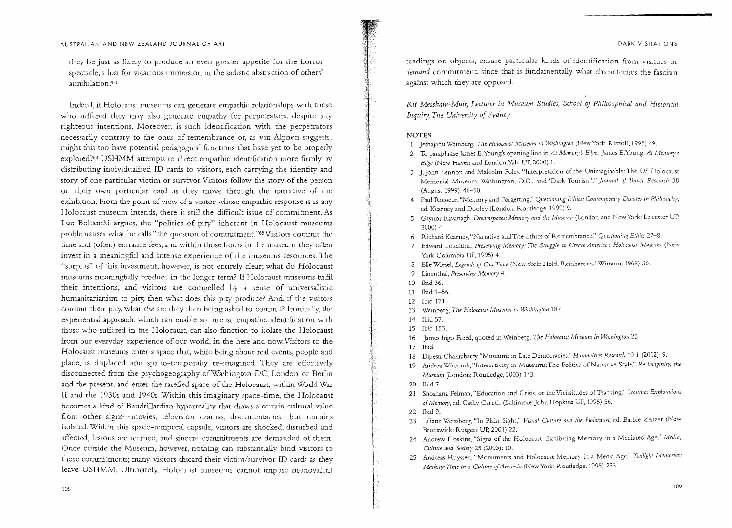#### AUSTRALIAN AND NEW ZEALAND JOURNAL OF ART

they be just as likely to produce an even greater appetite for the horror spectacle, a lust for vicarious immersion in the sadistic abstraction of others' annihilation ?63

Indeed, if Holocaust museums can generate empathic relationships with those who suffered they may also generate empathy for perpetrators, despite any righteous intentions. Moreover, is such identification with the perpetrators necessarily contrary to the onus of remembrance or, as van Alphen suggests, might this too have potential pedagogical functions that have yet to be properly explored?64 USHMM attempts to direct empathic identification more firmly by distributing individualised ID cards to visitors, each carrying the identity and story of one particular victim or survivor. Visitors follow the story of the person on their own particular card as they move through the narrative of the exhibition. From the point of view of a visitor whose empathic response is as any Holocaust museum intends, there is still the difficult issue of commitment. As Luc Boltanski argues, the "politics of pity" inherent in Holocaust museums problematises what he calls "the question of commitment."65 Visitors commit the time and (often) entrance fees, and within those hours in the museum they often invest in a meaningful and intense experience of the museums resources. The "surplus" of this investment, however, is not entirely clear; what do Holocaust museums meaningfully produce in the longer term? If Holocaust museums fulfil their intentions, and visitors are compelled by a sense of universalistic humanitarianism to pity, then what does this pity produce? And, if the visitors corrunit their pity, what *else* are they then being asked to commit? Ironically, the experiential approach, which can enable an intense empathic identification with those who suffered in the Holocaust, can also function to isolate the Holocaust from our everyday experience of our world, in the here and now. Visitors to the Holocaust museums enter a space that, while being about real events, people and place, is displaced and spatio-temporally re-imagined. They are effectively disconnected from the psychogeography ofWashington DC, London or Berlin and the present, and enter the rarefied space of the Holocaust, within World War II and the 1930s and 1940s. Within this imaginary space-time, the Holocaust becomes a kind of Baudrillardian hyperreality that draws a certain cultural value from other signs--movies, television dramas, documentaries-but remains isolated. Within this spatio-temporal capsule, visitors are shocked, disturbed and affected, lessons are learned, and sincere commitments are demanded of them. Once outside the Museum, however, nothing can substantially bind visitors to those conunitments; many visitors discard their victim/survivor ID cards as they leave USHMM. Ultimately, Holocaust museums cannot impose monovalent readings on objects, ensure particular kinds of identification from visitors or *demand* commitment, since that is fundamentally what characterises the fascism against which they are opposed.

*Kit Messham-Muir, Lecturer in Museum Studies, School of Philosophical and Historical Inquiry, The University of Sydney* 

## **NOTES**

- 1 Jeshajahu Weinberg, *The Holocaust Museunr in Washington* (New York: Rizzoli, 1995) 49.
- 2 To paraphrase James E. Young's opening line in *At Memory's Edge*. James E. Young, *At Memory's Edge* (New Haven and London: Yale UP, 2000) 1.
- 3 *].* John Lennon and Malcolm Foley, "Interpretation of the Unimaginable: The US Holocaust Memorial Museum, Washington, D.C., and 'Dark Tourism'," Journal of Travel Research 38 (August 1999): 46-50.
- 4 Paul Ricoeur, "Memory and Forgetting," *Questioning Etlrics: Comernporary Debates in Philosophy,*  ed. Kearney and Dooley (London: Routledge, 1999) 9.
- 5 Gaynor Kavanagh, *Dreamspaces: lvfemory and the l\1useum* (London and New York: Leicester UP, 2000) 4.
- 6 Richard Kearney, "Narrative and The Ethics of Remembrance," *Questioning Ethics* 27-8.
- 7 Edward Linenthal, *Preserving Memory: The Struggle to Create America's Holocaust Museum* (New York Columbia UP, 1995) 4.
- 8 Elie Wiesel, *Legends of Our Time* (New York: Hold, Reinhart and Winston, 1968) 36.
- 9 Linenthal, *Preserving Memory* 4.
- 10 Ibid 36.
- 11 Ibid 1-56.
- 12 Ibid 171.
- 13 Weinberg, The Holocaust Museum in Washington 187.
- 14 Ibid57.
- 15 Ibid 153.
- 16 James Ingo Freed, quoted in Weinberg, *The Holocaust Museum in Washington* 25.
- 17 Ibid.
- 18 Dipesh Chakrabarty, "Museums in Late Democracies," *Humanities Research* 10.1 (2002): 9.
- 19 Andrea Witcomb, "lnteractivity in Museums: The Politics of Narrative Style," *Re-irnagining the Museum* (London: Routledge, 2003) 143.

21 Shoshana Felman, "Education and Crisis, or the Vicissitudes of Teaching," *Trauma: Explorations of Memory,* ed. Cathy Caruth (Baltimore: John Hopkins UP, 1995) 56.

- 23 Liliane Weissberg, "In Plain Sight," *Visual Culture and the Holocaust,* ed. Barbie Zelizer (New Brunswick: Rutgers UP, 2001) 22.
- 24 Andrew Hoskins, "Signs of the Holocaust: Exhibiting Memory in a Mediated Age," Media, *Culture and Society* 25 (2003): 10.
- 25 Andreas Huyssen, "Monuments and Holocaust Memory in a Media Age," *Twilight Memories: lvfarking Time in a Culture of Amnesia* (New York: Routledge, 1995) 255.

<sup>20</sup> Ibid 7.

<sup>22</sup> Ibid 9.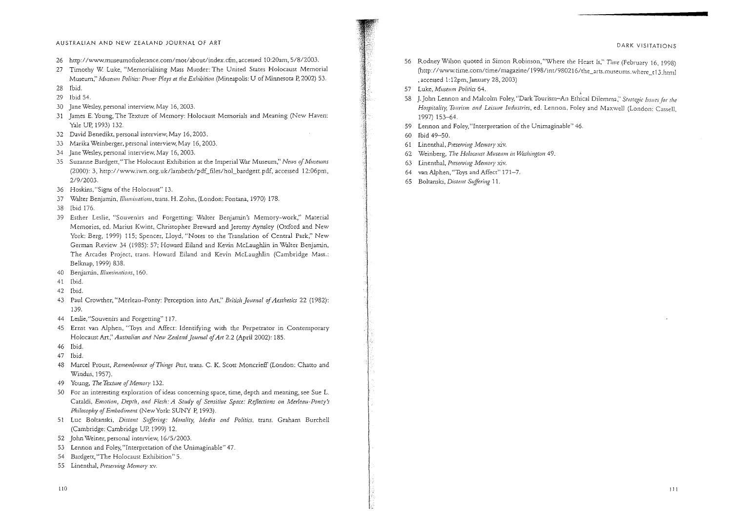- 26 http://www.museumoftolerance.com/mot/about/index.cfm.accessed 10:20am, 5/8/2003.
- 27 Timothy W Luke, "Memorialising Mass Murder: The United States Holocaust Memorial Museum," *Museum Politics: Power Plays at the Exhibition* (Mineapolis: U of Minnesota P, 2002) 53.
- 28 Ibid.
- 29 Ibid 54.
- 30 Jane Wesley, personal interview, May 16,2003.
- 31 James E. Young, The Texture of Memory: Holocaust Memorials and Meaning (New Haven: Yale UP, !993) 132.
- 32 David Benedikt, personal interview, May !6, 2003.
- 33 Marika Weinberger, personal interview, May 16,2003.
- 34 Jane Wesley, personal interview, May 16,2003.
- 35 Suzanne Bardgett, "The Holocaust Exhibition at the Imperial War Museum," *News* of *lvfuseums*  (2000): 3, http:/ /www.iwn.org.uk/lambeth/pdf\_files/hol\_bardgett.pdf, accessed !2:06pm, *219/2003.*
- 36 Hoskins, "Signs of the Holocaust" 13.
- 37 Walter Benjamin, *Iilumiuatious,* trans. H. Zohn, (London: Fontana, 1970) 178.
- 38 Ibid 176.
- 39 Esther Leslie, "Souvenirs and Forgetting: Walter Benjamin's Memory-work," Material Memories, ed. Marius Kwint, Christopher Breward and Jeremy Aynsley (Oxford and New York: Berg, 1999) 115; Spencer, Lloyd, "Notes to the Translation of Central Park," New German Review 34 (1985): 57; Howard Eiland and Kevin McLaughlin in Walter Benjamin, The Arcades Project, trans. Howard Eiland and Kevin McLaughlin (Cambridge Mass.: Belknap, !999) 838.
- 40 Benjamin, *lllwninations,* 160.
- 41 Ibid.
- 42 Ibid.
- 43 Paul Crowther, "Merleau-Ponty: Perception into Art," *British journal of Aesthetics* 22 (1982): 139.
- 44 Leslie, "Souvenirs and Forgetting" 117.
- 45 Ernst van Alphen, "Toys and Affect: IdentifYing with the Perpetrator in Contemporary Holocaust Art," *Australian and New Zealand Journal* of *Art* 2.2 (April 2002): 185.
- 46 Ibid.
- 47 Ibid.
- 48 Marcel Proust, *Remembrance of Things Past*, *trans. C. K. Scott Moncrieff (London: Chatto and* Windus, 1957).
- 49 Young, *The Texture* of *Memory* 132.
- 50 For an interesting exploration of ideas concerning space, time, depth and meaning, see Sue L. Cataldi, *Emotion*, *Depth*, and *Flesh: A Study of Sensitive Space: Reflections on Merleau-Ponty's* Philosophy of *Embodiment* (New York: SUNY P, 1993).
- 51 Luc Boltanski, *Distant Suffering: Morality, Media a11d Politics,* trans. Graham Burchell (Cambridge: Cambridge UP, 1999) 12.
- 52 John Weiner, personal interview, 16/5/2003.
- 53 Lennon and Foley, "Interpretation of the Unimaginable" 47.
- 54 Bardgett, "The Holocaust Exhibition" 5.
- 55 Linenthal, *Preserving Memory* xv.
- 56 Rodney Wilson quoted in Simon Robinson, "Where the Heart Is," *Ti111e* (February 16, 1998) (http:/ /www.time.com/time/magazine/ 1998/int/980216/the\_arts.museums. whcre\_t J3.html , accessed 1 :12pm,January 28, 2003)
- 57 Luke, *lvfuseum Politics* 64.
- 58 I. John Lennon and Malcolm Foley, "Dark Tourism-An Ethical Dilemma," Strategic Issues for the *Hospitality, Tourism and Leisure Industries, ed. Lennon, Foley and Maxwell (London: Cassell* 1997) 153-64.
- 59 Lennon and Foley, "Interpretation of the Unimaginable" 46.
- 60 Ibid 49-50.
- 61 Linenthal, *Preserving Memory* xiv.
- 62 Weinberg, *The Holocaust Museum in Washington* 49.
- 63 Linenthal, *Preserving Memory xiv.*
- 64 van Alphen, "Toys and Affect" 171-7.
- 65 Boltanski, *Distant Suffering* 11.